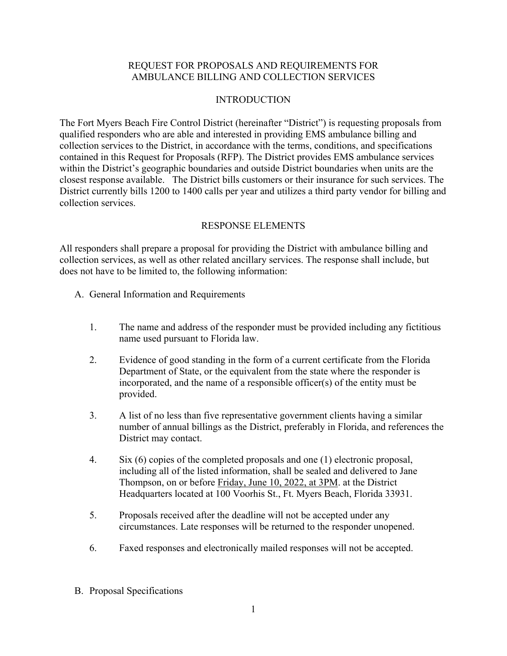## REQUEST FOR PROPOSALS AND REQUIREMENTS FOR AMBULANCE BILLING AND COLLECTION SERVICES

# INTRODUCTION

The Fort Myers Beach Fire Control District (hereinafter "District") is requesting proposals from qualified responders who are able and interested in providing EMS ambulance billing and collection services to the District, in accordance with the terms, conditions, and specifications contained in this Request for Proposals (RFP). The District provides EMS ambulance services within the District's geographic boundaries and outside District boundaries when units are the closest response available. The District bills customers or their insurance for such services. The District currently bills 1200 to 1400 calls per year and utilizes a third party vendor for billing and collection services.

## RESPONSE ELEMENTS

All responders shall prepare a proposal for providing the District with ambulance billing and collection services, as well as other related ancillary services. The response shall include, but does not have to be limited to, the following information:

- A. General Information and Requirements
	- 1. The name and address of the responder must be provided including any fictitious name used pursuant to Florida law.
	- 2. Evidence of good standing in the form of a current certificate from the Florida Department of State, or the equivalent from the state where the responder is incorporated, and the name of a responsible officer(s) of the entity must be provided.
	- 3. A list of no less than five representative government clients having a similar number of annual billings as the District, preferably in Florida, and references the District may contact.
	- 4. Six (6) copies of the completed proposals and one (1) electronic proposal, including all of the listed information, shall be sealed and delivered to Jane Thompson, on or before Friday, June 10, 2022, at 3PM. at the District Headquarters located at 100 Voorhis St., Ft. Myers Beach, Florida 33931.
	- 5. Proposals received after the deadline will not be accepted under any circumstances. Late responses will be returned to the responder unopened.
	- 6. Faxed responses and electronically mailed responses will not be accepted.
- B. Proposal Specifications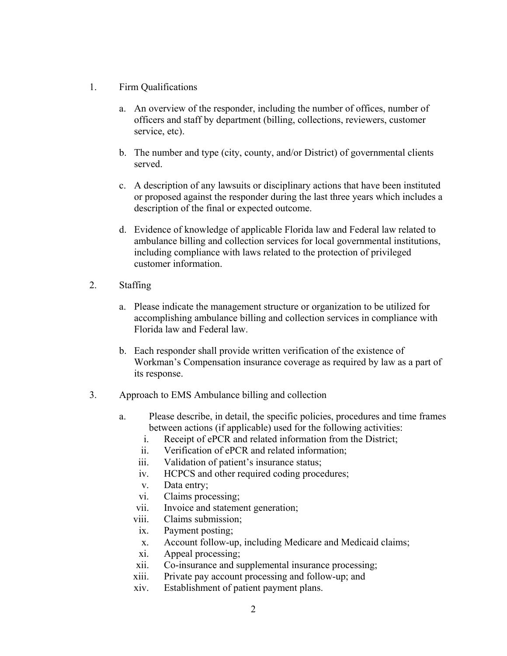- 1. Firm Qualifications
	- a. An overview of the responder, including the number of offices, number of officers and staff by department (billing, collections, reviewers, customer service, etc).
	- b. The number and type (city, county, and/or District) of governmental clients served.
	- c. A description of any lawsuits or disciplinary actions that have been instituted or proposed against the responder during the last three years which includes a description of the final or expected outcome.
	- d. Evidence of knowledge of applicable Florida law and Federal law related to ambulance billing and collection services for local governmental institutions, including compliance with laws related to the protection of privileged customer information.
- 2. Staffing
	- a. Please indicate the management structure or organization to be utilized for accomplishing ambulance billing and collection services in compliance with Florida law and Federal law.
	- b. Each responder shall provide written verification of the existence of Workman's Compensation insurance coverage as required by law as a part of its response.
- 3. Approach to EMS Ambulance billing and collection
	- a. Please describe, in detail, the specific policies, procedures and time frames between actions (if applicable) used for the following activities:
		- i. Receipt of ePCR and related information from the District;
		- ii. Verification of ePCR and related information;
		- iii. Validation of patient's insurance status;
		- iv. HCPCS and other required coding procedures;
		- v. Data entry;
		- vi. Claims processing;
		- vii. Invoice and statement generation;
		- viii. Claims submission;
		- ix. Payment posting;
		- x. Account follow-up, including Medicare and Medicaid claims;
		- xi. Appeal processing;
		- xii. Co-insurance and supplemental insurance processing;
		- xiii. Private pay account processing and follow-up; and
		- xiv. Establishment of patient payment plans.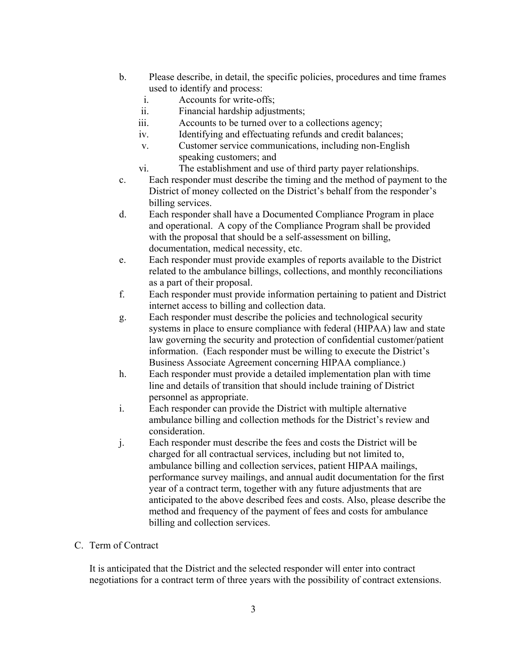- b. Please describe, in detail, the specific policies, procedures and time frames used to identify and process:
	- i. Accounts for write-offs;
	- ii. Financial hardship adjustments;
	- iii. Accounts to be turned over to a collections agency;
	- iv. Identifying and effectuating refunds and credit balances;
	- v. Customer service communications, including non-English speaking customers; and
	- vi. The establishment and use of third party payer relationships.
- c. Each responder must describe the timing and the method of payment to the District of money collected on the District's behalf from the responder's billing services.
- d. Each responder shall have a Documented Compliance Program in place and operational. A copy of the Compliance Program shall be provided with the proposal that should be a self-assessment on billing, documentation, medical necessity, etc.
- e. Each responder must provide examples of reports available to the District related to the ambulance billings, collections, and monthly reconciliations as a part of their proposal.
- f. Each responder must provide information pertaining to patient and District internet access to billing and collection data.
- g. Each responder must describe the policies and technological security systems in place to ensure compliance with federal (HIPAA) law and state law governing the security and protection of confidential customer/patient information. (Each responder must be willing to execute the District's Business Associate Agreement concerning HIPAA compliance.)
- h. Each responder must provide a detailed implementation plan with time line and details of transition that should include training of District personnel as appropriate.
- i. Each responder can provide the District with multiple alternative ambulance billing and collection methods for the District's review and consideration.
- j. Each responder must describe the fees and costs the District will be charged for all contractual services, including but not limited to, ambulance billing and collection services, patient HIPAA mailings, performance survey mailings, and annual audit documentation for the first year of a contract term, together with any future adjustments that are anticipated to the above described fees and costs. Also, please describe the method and frequency of the payment of fees and costs for ambulance billing and collection services.

#### C. Term of Contract

It is anticipated that the District and the selected responder will enter into contract negotiations for a contract term of three years with the possibility of contract extensions.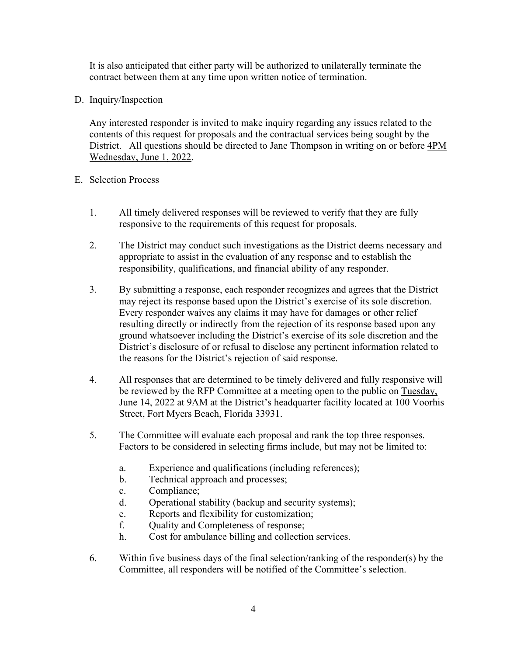It is also anticipated that either party will be authorized to unilaterally terminate the contract between them at any time upon written notice of termination.

D. Inquiry/Inspection

Any interested responder is invited to make inquiry regarding any issues related to the contents of this request for proposals and the contractual services being sought by the District. All questions should be directed to Jane Thompson in writing on or before 4PM Wednesday, June 1, 2022.

## E. Selection Process

- 1. All timely delivered responses will be reviewed to verify that they are fully responsive to the requirements of this request for proposals.
- 2. The District may conduct such investigations as the District deems necessary and appropriate to assist in the evaluation of any response and to establish the responsibility, qualifications, and financial ability of any responder.
- 3. By submitting a response, each responder recognizes and agrees that the District may reject its response based upon the District's exercise of its sole discretion. Every responder waives any claims it may have for damages or other relief resulting directly or indirectly from the rejection of its response based upon any ground whatsoever including the District's exercise of its sole discretion and the District's disclosure of or refusal to disclose any pertinent information related to the reasons for the District's rejection of said response.
- 4. All responses that are determined to be timely delivered and fully responsive will be reviewed by the RFP Committee at a meeting open to the public on Tuesday, June 14, 2022 at 9AM at the District's headquarter facility located at 100 Voorhis Street, Fort Myers Beach, Florida 33931.
- 5. The Committee will evaluate each proposal and rank the top three responses. Factors to be considered in selecting firms include, but may not be limited to:
	- a. Experience and qualifications (including references);
	- b. Technical approach and processes;
	- c. Compliance;
	- d. Operational stability (backup and security systems);
	- e. Reports and flexibility for customization;
	- f. Quality and Completeness of response;
	- h. Cost for ambulance billing and collection services.
- 6. Within five business days of the final selection/ranking of the responder(s) by the Committee, all responders will be notified of the Committee's selection.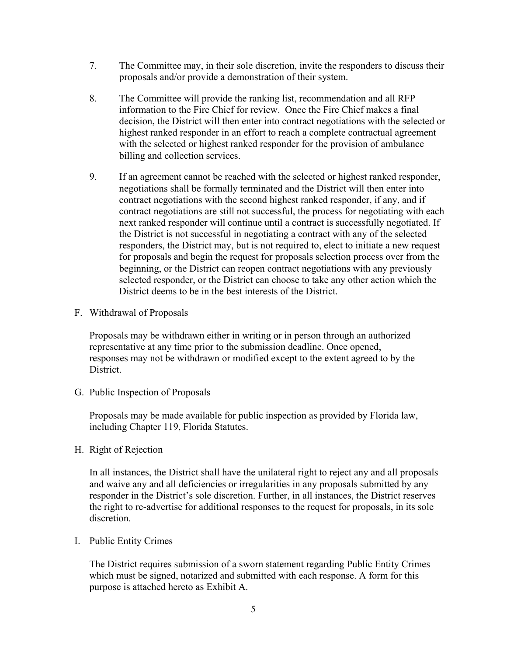- proposals and/or provide a demonstration of their system. 7. The Committee may, in their sole discretion, invite the responders to discuss their
- 8. The Committee will provide the ranking list, recommendation and all RFP information to the Fire Chief for review. Once the Fire Chief makes a final decision, the District will then enter into contract negotiations with the selected or highest ranked responder in an effort to reach a complete contractual agreement with the selected or highest ranked responder for the provision of ambulance billing and collection services.
- 9. If an agreement cannot be reached with the selected or highest ranked responder, negotiations shall be formally terminated and the District will then enter into contract negotiations with the second highest ranked responder, if any, and if contract negotiations are still not successful, the process for negotiating with each next ranked responder will continue until a contract is successfully negotiated. If the District is not successful in negotiating a contract with any of the selected responders, the District may, but is not required to, elect to initiate a new request for proposals and begin the request for proposals selection process over from the beginning, or the District can reopen contract negotiations with any previously selected responder, or the District can choose to take any other action which the District deems to be in the best interests of the District.
- F. Withdrawal of Proposals

Proposals may be withdrawn either in writing or in person through an authorized representative at any time prior to the submission deadline. Once opened, responses may not be withdrawn or modified except to the extent agreed to by the District.

G. Public Inspection of Proposals

Proposals may be made available for public inspection as provided by Florida law, including Chapter 119, Florida Statutes.

H. Right of Rejection

In all instances, the District shall have the unilateral right to reject any and all proposals and waive any and all deficiencies or irregularities in any proposals submitted by any responder in the District's sole discretion. Further, in all instances, the District reserves the right to re-advertise for additional responses to the request for proposals, in its sole discretion.

I. Public Entity Crimes

 purpose is attached hereto as Exhibit A. The District requires submission of a sworn statement regarding Public Entity Crimes which must be signed, notarized and submitted with each response. A form for this